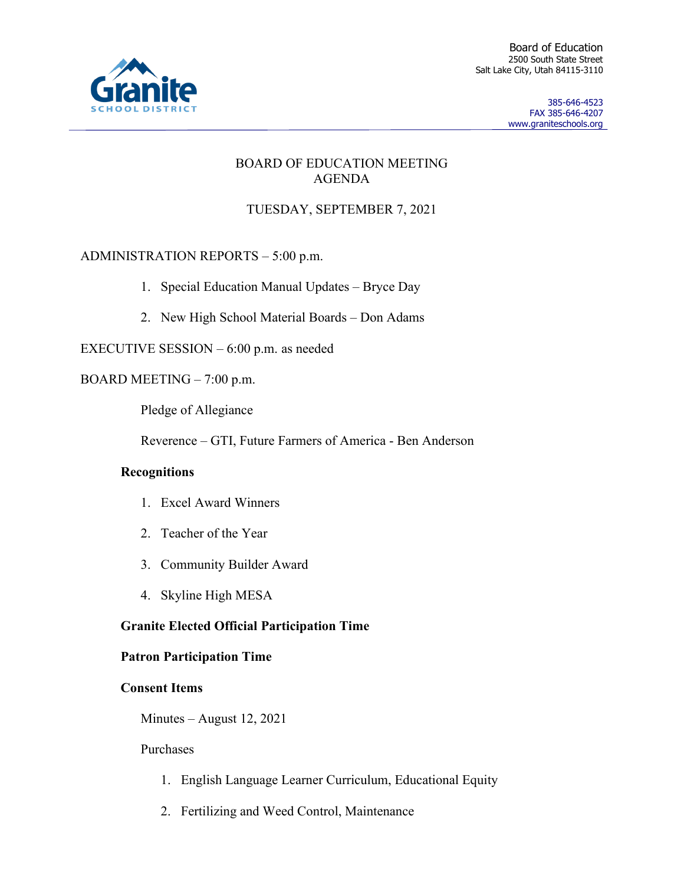

Board of Education 2500 South State Street Salt Lake City, Utah 84115-3110

> 385-646-4523 FAX 385-646-4207 www.graniteschools.org

## BOARD OF EDUCATION MEETING AGENDA

# TUESDAY, SEPTEMBER 7, 2021

# ADMINISTRATION REPORTS – 5:00 p.m.

- 1. Special Education Manual Updates Bryce Day
- 2. New High School Material Boards Don Adams

EXECUTIVE SESSION – 6:00 p.m. as needed

## BOARD MEETING – 7:00 p.m.

Pledge of Allegiance

Reverence – GTI, Future Farmers of America - Ben Anderson

## **Recognitions**

- 1. Excel Award Winners
- 2. Teacher of the Year
- 3. Community Builder Award
- 4. Skyline High MESA

## **Granite Elected Official Participation Time**

## **Patron Participation Time**

### **Consent Items**

Minutes – August 12, 2021

### Purchases

- 1. English Language Learner Curriculum, Educational Equity
- 2. Fertilizing and Weed Control, Maintenance